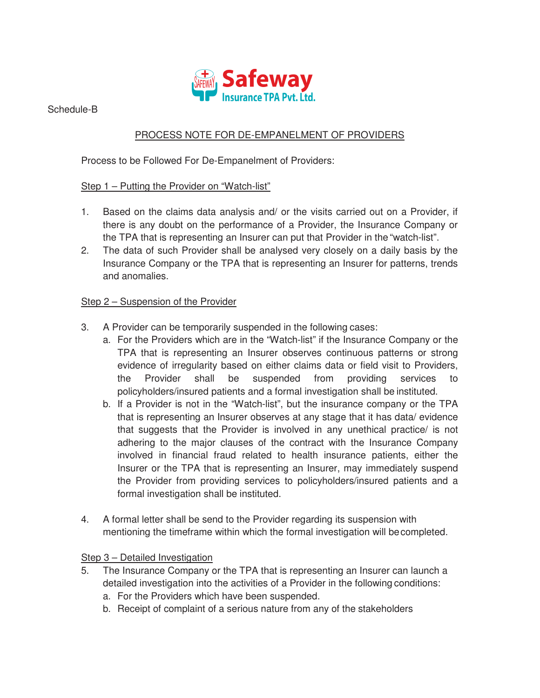

Schedule-B

# PROCESS NOTE FOR DE-EMPANELMENT OF PROVIDERS

Process to be Followed For De-Empanelment of Providers:

## Step 1 – Putting the Provider on "Watch-list"

- 1. Based on the claims data analysis and/ or the visits carried out on a Provider, if there is any doubt on the performance of a Provider, the Insurance Company or the TPA that is representing an Insurer can put that Provider in the "watch-list".
- 2. The data of such Provider shall be analysed very closely on a daily basis by the Insurance Company or the TPA that is representing an Insurer for patterns, trends and anomalies.

### Step 2 – Suspension of the Provider

- 3. A Provider can be temporarily suspended in the following cases:
	- a. For the Providers which are in the "Watch-list" if the Insurance Company or the TPA that is representing an Insurer observes continuous patterns or strong evidence of irregularity based on either claims data or field visit to Providers, the Provider shall be suspended from providing services to policyholders/insured patients and a formal investigation shall be instituted.
	- b. If a Provider is not in the "Watch-list", but the insurance company or the TPA that is representing an Insurer observes at any stage that it has data/ evidence that suggests that the Provider is involved in any unethical practice/ is not adhering to the major clauses of the contract with the Insurance Company involved in financial fraud related to health insurance patients, either the Insurer or the TPA that is representing an Insurer, may immediately suspend the Provider from providing services to policyholders/insured patients and a formal investigation shall be instituted.
- 4. A formal letter shall be send to the Provider regarding its suspension with mentioning the timeframe within which the formal investigation will be completed.

### Step 3 – Detailed Investigation

- 5. The Insurance Company or the TPA that is representing an Insurer can launch a detailed investigation into the activities of a Provider in the following conditions:
	- a. For the Providers which have been suspended.
	- b. Receipt of complaint of a serious nature from any of the stakeholders